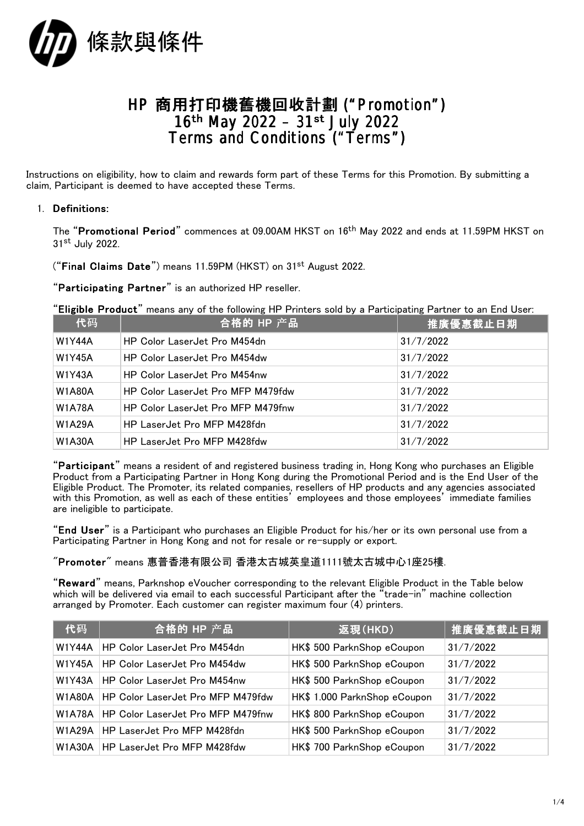

## HP 商用打印機舊機回收計劃 ("Promotion") 16th May 2022 – 31st July 2022 Terms and Conditions ("Terms")

Instructions on eligibility, how to claim and rewards form part of these Terms for this Promotion. By submitting a claim, Participant is deemed to have accepted these Terms.

## 1. Definitions:

The "Promotional Period" commences at 09.00AM HKST on 16th May 2022 and ends at 11.59PM HKST on 31st July 2022.

("Final Claims Date") means 11.59PM (HKST) on 31st August 2022.

"Participating Partner" is an authorized HP reseller.

"Eligible Product" means any of the following HP Printers sold by a Participating Partner to an End User:

| 代码            | 合格的 HP 产品                         | 推廣優惠截止日期  |
|---------------|-----------------------------------|-----------|
| <b>W1Y44A</b> | HP Color LaserJet Pro M454dn      | 31/7/2022 |
| <b>W1Y45A</b> | HP Color LaserJet Pro M454dw      | 31/7/2022 |
| <b>W1Y43A</b> | HP Color LaserJet Pro M454nw      | 31/7/2022 |
| <b>W1A80A</b> | HP Color LaserJet Pro MFP M479fdw | 31/7/2022 |
| <b>W1A78A</b> | HP Color LaserJet Pro MFP M479fnw | 31/7/2022 |
| <b>W1A29A</b> | HP LaserJet Pro MFP M428fdn       | 31/7/2022 |
| <b>W1A30A</b> | HP LaserJet Pro MFP M428fdw       | 31/7/2022 |

"Participant" means a resident of and registered business trading in, Hong Kong who purchases an Eligible Product from a Participating Partner in Hong Kong during the Promotional Period and is the End User of the Eligible Product. The Promoter, its related companies, resellers of HP products and any agencies associated with this Promotion, as well as each of these entities' employees and those employees' immediate families are ineligible to participate.

"End User" is a Participant who purchases an Eligible Product for his/her or its own personal use from a Participating Partner in Hong Kong and not for resale or re-supply or export.

"Promoter" means 惠普香港有限公司 香港太古城英皇道1111號太古城中心1座25樓.

"Reward" means, Parknshop eVoucher corresponding to the relevant Eligible Product in the Table below which will be delivered via email to each successful Participant after the "trade-in" machine collection arranged by Promoter. Each customer can register maximum four (4) printers.

| 代码            | 合格的 HP 产品                            | 返現(HKD)                      | 推廣優惠截止日期  |
|---------------|--------------------------------------|------------------------------|-----------|
| <b>W1Y44A</b> | HP Color LaserJet Pro M454dn         | HK\$ 500 ParknShop eCoupon   | 31/7/2022 |
| <b>W1Y45A</b> | HP Color LaserJet Pro M454dw         | HK\$ 500 ParknShop eCoupon   | 31/7/2022 |
| <b>W1Y43A</b> | <b>HP Color LaserJet Pro M454nw</b>  | HK\$ 500 ParknShop eCoupon   | 31/7/2022 |
| W1A80A        | HP Color LaserJet Pro MFP M479fdw    | HK\$ 1.000 ParknShop eCoupon | 31/7/2022 |
| W1A78A        | HP Color LaserJet Pro MFP M479fnw    | HK\$ 800 ParknShop eCoupon   | 31/7/2022 |
| W1A29A        | HP LaserJet Pro MFP M428fdn          | HK\$ 500 ParknShop eCoupon   | 31/7/2022 |
|               | W1A30A   HP LaserJet Pro MFP M428fdw | HK\$ 700 ParknShop eCoupon   | 31/7/2022 |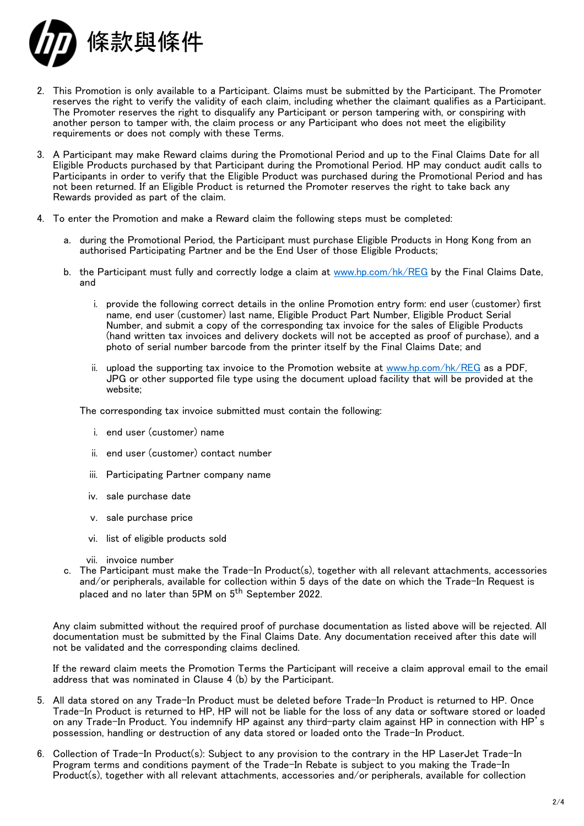

- 2. This Promotion is only available to a Participant. Claims must be submitted by the Participant. The Promoter reserves the right to verify the validity of each claim, including whether the claimant qualifies as a Participant. The Promoter reserves the right to disqualify any Participant or person tampering with, or conspiring with another person to tamper with, the claim process or any Participant who does not meet the eligibility requirements or does not comply with these Terms.
- 3. A Participant may make Reward claims during the Promotional Period and up to the Final Claims Date for all Eligible Products purchased by that Participant during the Promotional Period. HP may conduct audit calls to Participants in order to verify that the Eligible Product was purchased during the Promotional Period and has not been returned. If an Eligible Product is returned the Promoter reserves the right to take back any Rewards provided as part of the claim.
- 4. To enter the Promotion and make a Reward claim the following steps must be completed:
	- a. during the Promotional Period, the Participant must purchase Eligible Products in Hong Kong from an authorised Participating Partner and be the End User of those Eligible Products;
	- b. the Participant must fully and correctly lodge a claim at [www.hp.com/hk/REG](http://www.hp.com/hk/REG) by the Final Claims Date, and
		- i. provide the following correct details in the online Promotion entry form: end user (customer) first name, end user (customer) last name, Eligible Product Part Number, Eligible Product Serial Number, and submit a copy of the corresponding tax invoice for the sales of Eligible Products (hand written tax invoices and delivery dockets will not be accepted as proof of purchase), and a photo of serial number barcode from the printer itself by the Final Claims Date; and
		- ii. upload the supporting tax invoice to the Promotion website at [www.hp.com/hk/REG](http://www.hp.com/hk/REG) as a PDF, JPG or other supported file type using the document upload facility that will be provided at the website;

The corresponding tax invoice submitted must contain the following:

- i. end user (customer) name
- ii. end user (customer) contact number
- iii. Participating Partner company name
- iv. sale purchase date
- v. sale purchase price
- vi. list of eligible products sold
- vii. invoice number
- c. The Participant must make the Trade-In Product(s), together with all relevant attachments, accessories and/or peripherals, available for collection within 5 days of the date on which the Trade-In Request is placed and no later than 5PM on 5<sup>th</sup> September 2022.

Any claim submitted without the required proof of purchase documentation as listed above will be rejected. All documentation must be submitted by the Final Claims Date. Any documentation received after this date will not be validated and the corresponding claims declined.

If the reward claim meets the Promotion Terms the Participant will receive a claim approval email to the email address that was nominated in Clause 4 (b) by the Participant.

- 5. All data stored on any Trade-In Product must be deleted before Trade-In Product is returned to HP. Once Trade-In Product is returned to HP, HP will not be liable for the loss of any data or software stored or loaded on any Trade-In Product. You indemnify HP against any third-party claim against HP in connection with HP's possession, handling or destruction of any data stored or loaded onto the Trade-In Product.
- 6. Collection of Trade-In Product(s): Subject to any provision to the contrary in the HP LaserJet Trade-In Program terms and conditions payment of the Trade-In Rebate is subject to you making the Trade-In Product(s), together with all relevant attachments, accessories and/or peripherals, available for collection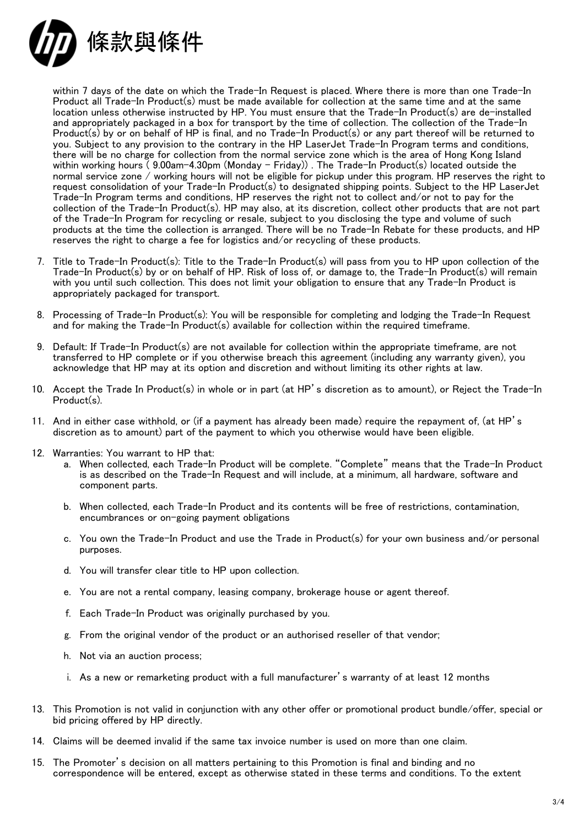

within 7 days of the date on which the Trade-In Request is placed. Where there is more than one Trade-In Product all Trade-In Product(s) must be made available for collection at the same time and at the same location unless otherwise instructed by HP. You must ensure that the Trade-In Product(s) are de-installed and appropriately packaged in a box for transport by the time of collection. The collection of the Trade-In Product(s) by or on behalf of HP is final, and no Trade-In Product(s) or any part thereof will be returned to you. Subject to any provision to the contrary in the HP LaserJet Trade-In Program terms and conditions, there will be no charge for collection from the normal service zone which is the area of Hong Kong Island within working hours ( 9.00am-4.30pm (Monday – Friday)) . The Trade-In Product(s) located outside the normal service zone / working hours will not be eligible for pickup under this program. HP reserves the right to request consolidation of your Trade-In Product(s) to designated shipping points. Subject to the HP LaserJet Trade-In Program terms and conditions, HP reserves the right not to collect and/or not to pay for the collection of the Trade-In Product(s). HP may also, at its discretion, collect other products that are not part of the Trade-In Program for recycling or resale, subject to you disclosing the type and volume of such products at the time the collection is arranged. There will be no Trade-In Rebate for these products, and HP reserves the right to charge a fee for logistics and/or recycling of these products.

- 7. Title to Trade-In Product(s): Title to the Trade-In Product(s) will pass from you to HP upon collection of the Trade-In Product(s) by or on behalf of HP. Risk of loss of, or damage to, the Trade-In Product(s) will remain with you until such collection. This does not limit your obligation to ensure that any Trade-In Product is appropriately packaged for transport.
- 8. Processing of Trade-In Product(s): You will be responsible for completing and lodging the Trade-In Request and for making the Trade-In Product(s) available for collection within the required timeframe.
- 9. Default: If Trade-In Product(s) are not available for collection within the appropriate timeframe, are not transferred to HP complete or if you otherwise breach this agreement (including any warranty given), you acknowledge that HP may at its option and discretion and without limiting its other rights at law.
- 10. Accept the Trade In Product(s) in whole or in part (at HP's discretion as to amount), or Reject the Trade-In Product(s).
- 11. And in either case withhold, or (if a payment has already been made) require the repayment of, (at HP's discretion as to amount) part of the payment to which you otherwise would have been eligible.
- 12. Warranties: You warrant to HP that:
	- a. When collected, each Trade-In Product will be complete. "Complete" means that the Trade-In Product is as described on the Trade-In Request and will include, at a minimum, all hardware, software and component parts.
	- b. When collected, each Trade-In Product and its contents will be free of restrictions, contamination, encumbrances or on-going payment obligations
	- c. You own the Trade-In Product and use the Trade in Product(s) for your own business and/or personal purposes.
	- d. You will transfer clear title to HP upon collection.
	- e. You are not a rental company, leasing company, brokerage house or agent thereof.
	- f. Each Trade-In Product was originally purchased by you.
	- g. From the original vendor of the product or an authorised reseller of that vendor;
	- h. Not via an auction process;
	- i. As a new or remarketing product with a full manufacturer's warranty of at least 12 months
- 13. This Promotion is not valid in conjunction with any other offer or promotional product bundle/offer, special or bid pricing offered by HP directly.
- 14. Claims will be deemed invalid if the same tax invoice number is used on more than one claim.
- 15. The Promoter's decision on all matters pertaining to this Promotion is final and binding and no correspondence will be entered, except as otherwise stated in these terms and conditions. To the extent